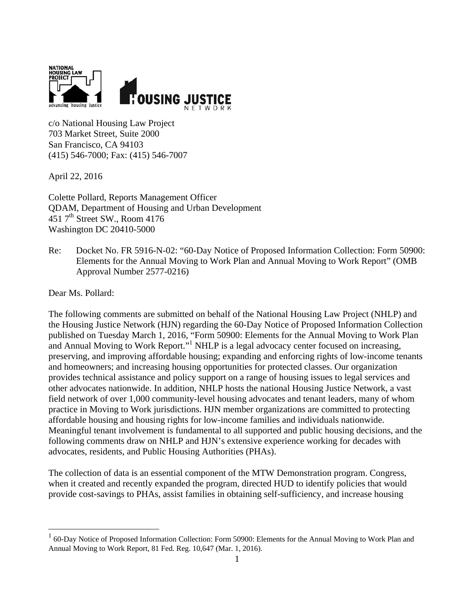

c/o National Housing Law Project 703 Market Street, Suite 2000 San Francisco, CA 94103 (415) 546-7000; Fax: (415) 546-7007

April 22, 2016

Colette Pollard, Reports Management Officer QDAM, Department of Housing and Urban Development 451  $7<sup>th</sup>$  Street SW., Room 4176 Washington DC 20410-5000

Re: Docket No. FR 5916-N-02: "60-Day Notice of Proposed Information Collection: Form 50900: Elements for the Annual Moving to Work Plan and Annual Moving to Work Report" (OMB Approval Number 2577-0216)

Dear Ms. Pollard:

 $\overline{a}$ 

The following comments are submitted on behalf of the National Housing Law Project (NHLP) and the Housing Justice Network (HJN) regarding the 60-Day Notice of Proposed Information Collection published on Tuesday March 1, 2016, "Form 50900: Elements for the Annual Moving to Work Plan and Annual Moving to Work Report."<sup>1</sup> NHLP is a legal advocacy center focused on increasing, preserving, and improving affordable housing; expanding and enforcing rights of low-income tenants and homeowners; and increasing housing opportunities for protected classes. Our organization provides technical assistance and policy support on a range of housing issues to legal services and other advocates nationwide. In addition, NHLP hosts the national Housing Justice Network, a vast field network of over 1,000 community-level housing advocates and tenant leaders, many of whom practice in Moving to Work jurisdictions. HJN member organizations are committed to protecting affordable housing and housing rights for low-income families and individuals nationwide. Meaningful tenant involvement is fundamental to all supported and public housing decisions, and the following comments draw on NHLP and HJN's extensive experience working for decades with advocates, residents, and Public Housing Authorities (PHAs).

The collection of data is an essential component of the MTW Demonstration program. Congress, when it created and recently expanded the program, directed HUD to identify policies that would provide cost-savings to PHAs, assist families in obtaining self-sufficiency, and increase housing

<sup>&</sup>lt;sup>1</sup> 60-Day Notice of Proposed Information Collection: Form 50900: Elements for the Annual Moving to Work Plan and Annual Moving to Work Report, 81 Fed. Reg. 10,647 (Mar. 1, 2016).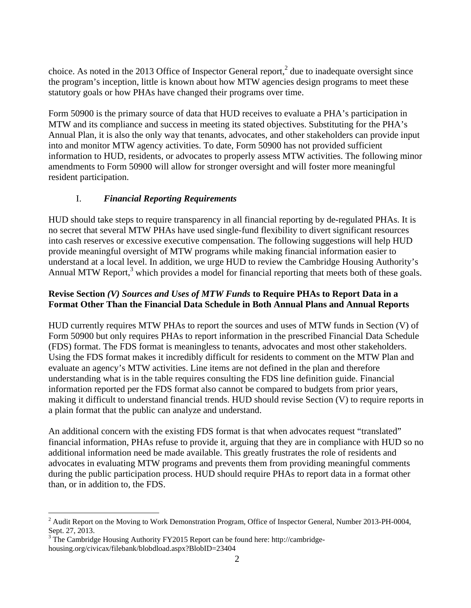choice. As noted in the 2013 Office of Inspector General report,<sup>2</sup> due to inadequate oversight since the program's inception, little is known about how MTW agencies design programs to meet these statutory goals or how PHAs have changed their programs over time.

Form 50900 is the primary source of data that HUD receives to evaluate a PHA's participation in MTW and its compliance and success in meeting its stated objectives. Substituting for the PHA's Annual Plan, it is also the only way that tenants, advocates, and other stakeholders can provide input into and monitor MTW agency activities. To date, Form 50900 has not provided sufficient information to HUD, residents, or advocates to properly assess MTW activities. The following minor amendments to Form 50900 will allow for stronger oversight and will foster more meaningful resident participation.

## I. *Financial Reporting Requirements*

HUD should take steps to require transparency in all financial reporting by de-regulated PHAs. It is no secret that several MTW PHAs have used single-fund flexibility to divert significant resources into cash reserves or excessive executive compensation. The following suggestions will help HUD provide meaningful oversight of MTW programs while making financial information easier to understand at a local level. In addition, we urge HUD to review the Cambridge Housing Authority's Annual MTW Report,<sup>3</sup> which provides a model for financial reporting that meets both of these goals.

#### **Revise Section** *(V) Sources and Uses of MTW Funds* **to Require PHAs to Report Data in a Format Other Than the Financial Data Schedule in Both Annual Plans and Annual Reports**

HUD currently requires MTW PHAs to report the sources and uses of MTW funds in Section (V) of Form 50900 but only requires PHAs to report information in the prescribed Financial Data Schedule (FDS) format. The FDS format is meaningless to tenants, advocates and most other stakeholders. Using the FDS format makes it incredibly difficult for residents to comment on the MTW Plan and evaluate an agency's MTW activities. Line items are not defined in the plan and therefore understanding what is in the table requires consulting the FDS line definition guide. Financial information reported per the FDS format also cannot be compared to budgets from prior years, making it difficult to understand financial trends. HUD should revise Section (V) to require reports in a plain format that the public can analyze and understand.

An additional concern with the existing FDS format is that when advocates request "translated" financial information, PHAs refuse to provide it, arguing that they are in compliance with HUD so no additional information need be made available. This greatly frustrates the role of residents and advocates in evaluating MTW programs and prevents them from providing meaningful comments during the public participation process. HUD should require PHAs to report data in a format other than, or in addition to, the FDS.

<u>.</u>

 $2^2$  Audit Report on the Moving to Work Demonstration Program, Office of Inspector General, Number 2013-PH-0004, Sept. 27, 2013.

 $3$  The Cambridge Housing Authority FY2015 Report can be found here: http://cambridgehousing.org/civicax/filebank/blobdload.aspx?BlobID=23404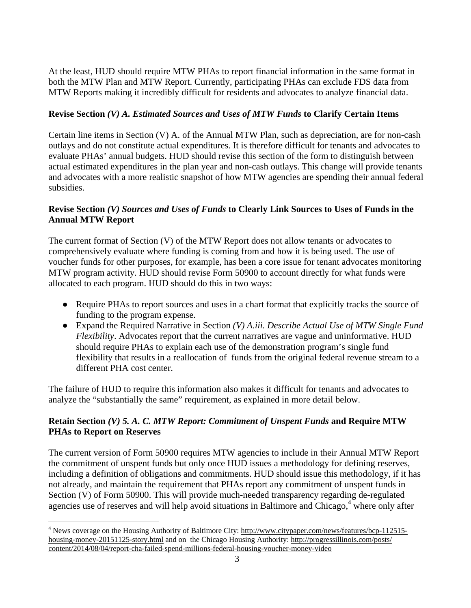At the least, HUD should require MTW PHAs to report financial information in the same format in both the MTW Plan and MTW Report. Currently, participating PHAs can exclude FDS data from MTW Reports making it incredibly difficult for residents and advocates to analyze financial data.

### **Revise Section** *(V) A. Estimated Sources and Uses of MTW Funds* **to Clarify Certain Items**

Certain line items in Section (V) A. of the Annual MTW Plan, such as depreciation, are for non-cash outlays and do not constitute actual expenditures. It is therefore difficult for tenants and advocates to evaluate PHAs' annual budgets. HUD should revise this section of the form to distinguish between actual estimated expenditures in the plan year and non-cash outlays. This change will provide tenants and advocates with a more realistic snapshot of how MTW agencies are spending their annual federal subsidies.

### **Revise Section** *(V) Sources and Uses of Funds* **to Clearly Link Sources to Uses of Funds in the Annual MTW Report**

The current format of Section (V) of the MTW Report does not allow tenants or advocates to comprehensively evaluate where funding is coming from and how it is being used. The use of voucher funds for other purposes, for example, has been a core issue for tenant advocates monitoring MTW program activity. HUD should revise Form 50900 to account directly for what funds were allocated to each program. HUD should do this in two ways:

- Require PHAs to report sources and uses in a chart format that explicitly tracks the source of funding to the program expense.
- Expand the Required Narrative in Section *(V) A.iii. Describe Actual Use of MTW Single Fund Flexibility*. Advocates report that the current narratives are vague and uninformative. HUD should require PHAs to explain each use of the demonstration program's single fund flexibility that results in a reallocation of funds from the original federal revenue stream to a different PHA cost center.

The failure of HUD to require this information also makes it difficult for tenants and advocates to analyze the "substantially the same" requirement, as explained in more detail below.

## **Retain Section** *(V) 5. A. C. MTW Report: Commitment of Unspent Funds* **and Require MTW PHAs to Report on Reserves**

The current version of Form 50900 requires MTW agencies to include in their Annual MTW Report the commitment of unspent funds but only once HUD issues a methodology for defining reserves, including a definition of obligations and commitments. HUD should issue this methodology, if it has not already, and maintain the requirement that PHAs report any commitment of unspent funds in Section (V) of Form 50900. This will provide much-needed transparency regarding de-regulated agencies use of reserves and will help avoid situations in Baltimore and Chicago,<sup>4</sup> where only after

 $\overline{a}$ 

<sup>&</sup>lt;sup>4</sup> News coverage on the Housing Authority of Baltimore City: http://www.citypaper.com/news/features/bcp-112515housing-money-20151125-story.html and on the Chicago Housing Authority: http://progressillinois.com/posts/ content/2014/08/04/report-cha-failed-spend-millions-federal-housing-voucher-money-video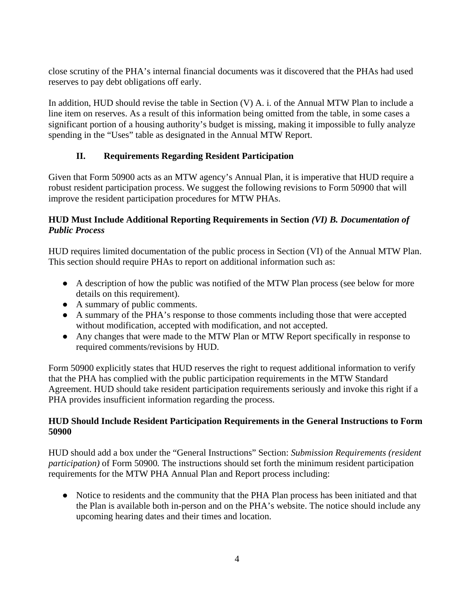close scrutiny of the PHA's internal financial documents was it discovered that the PHAs had used reserves to pay debt obligations off early.

In addition, HUD should revise the table in Section (V) A. i. of the Annual MTW Plan to include a line item on reserves. As a result of this information being omitted from the table, in some cases a significant portion of a housing authority's budget is missing, making it impossible to fully analyze spending in the "Uses" table as designated in the Annual MTW Report.

# **II. Requirements Regarding Resident Participation**

Given that Form 50900 acts as an MTW agency's Annual Plan, it is imperative that HUD require a robust resident participation process. We suggest the following revisions to Form 50900 that will improve the resident participation procedures for MTW PHAs.

### **HUD Must Include Additional Reporting Requirements in Section** *(VI) B. Documentation of Public Process*

HUD requires limited documentation of the public process in Section (VI) of the Annual MTW Plan. This section should require PHAs to report on additional information such as:

- A description of how the public was notified of the MTW Plan process (see below for more details on this requirement).
- A summary of public comments.
- A summary of the PHA's response to those comments including those that were accepted without modification, accepted with modification, and not accepted.
- Any changes that were made to the MTW Plan or MTW Report specifically in response to required comments/revisions by HUD.

Form 50900 explicitly states that HUD reserves the right to request additional information to verify that the PHA has complied with the public participation requirements in the MTW Standard Agreement. HUD should take resident participation requirements seriously and invoke this right if a PHA provides insufficient information regarding the process.

#### **HUD Should Include Resident Participation Requirements in the General Instructions to Form 50900**

HUD should add a box under the "General Instructions" Section: *Submission Requirements (resident participation)* of Form 50900*.* The instructions should set forth the minimum resident participation requirements for the MTW PHA Annual Plan and Report process including:

● Notice to residents and the community that the PHA Plan process has been initiated and that the Plan is available both in-person and on the PHA's website. The notice should include any upcoming hearing dates and their times and location.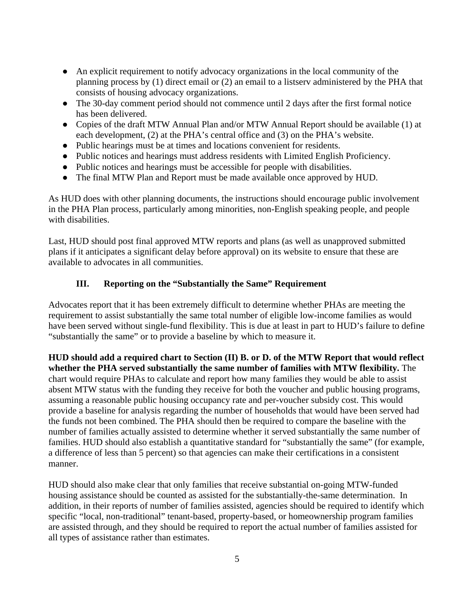- An explicit requirement to notify advocacy organizations in the local community of the planning process by (1) direct email or (2) an email to a listserv administered by the PHA that consists of housing advocacy organizations.
- The 30-day comment period should not commence until 2 days after the first formal notice has been delivered.
- Copies of the draft MTW Annual Plan and/or MTW Annual Report should be available (1) at each development, (2) at the PHA's central office and (3) on the PHA's website.
- Public hearings must be at times and locations convenient for residents.
- Public notices and hearings must address residents with Limited English Proficiency.
- Public notices and hearings must be accessible for people with disabilities.
- The final MTW Plan and Report must be made available once approved by HUD.

As HUD does with other planning documents, the instructions should encourage public involvement in the PHA Plan process, particularly among minorities, non-English speaking people, and people with disabilities.

Last, HUD should post final approved MTW reports and plans (as well as unapproved submitted plans if it anticipates a significant delay before approval) on its website to ensure that these are available to advocates in all communities.

#### **III. Reporting on the "Substantially the Same" Requirement**

Advocates report that it has been extremely difficult to determine whether PHAs are meeting the requirement to assist substantially the same total number of eligible low-income families as would have been served without single-fund flexibility. This is due at least in part to HUD's failure to define "substantially the same" or to provide a baseline by which to measure it.

**HUD should add a required chart to Section (II) B. or D. of the MTW Report that would reflect whether the PHA served substantially the same number of families with MTW flexibility.** The chart would require PHAs to calculate and report how many families they would be able to assist absent MTW status with the funding they receive for both the voucher and public housing programs, assuming a reasonable public housing occupancy rate and per-voucher subsidy cost. This would provide a baseline for analysis regarding the number of households that would have been served had the funds not been combined. The PHA should then be required to compare the baseline with the number of families actually assisted to determine whether it served substantially the same number of families. HUD should also establish a quantitative standard for "substantially the same" (for example, a difference of less than 5 percent) so that agencies can make their certifications in a consistent manner.

HUD should also make clear that only families that receive substantial on-going MTW-funded housing assistance should be counted as assisted for the substantially-the-same determination. In addition, in their reports of number of families assisted, agencies should be required to identify which specific "local, non-traditional" tenant-based, property-based, or homeownership program families are assisted through, and they should be required to report the actual number of families assisted for all types of assistance rather than estimates.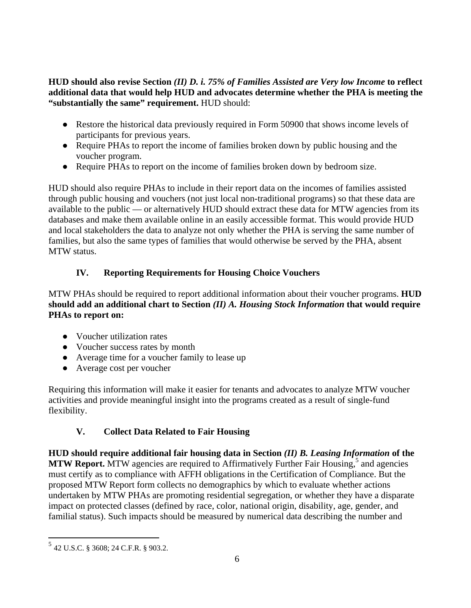#### **HUD should also revise Section** *(II) D. i. 75% of Families Assisted are Very low Income* **to reflect additional data that would help HUD and advocates determine whether the PHA is meeting the "substantially the same" requirement.** HUD should:

- Restore the historical data previously required in Form 50900 that shows income levels of participants for previous years.
- Require PHAs to report the income of families broken down by public housing and the voucher program.
- Require PHAs to report on the income of families broken down by bedroom size.

HUD should also require PHAs to include in their report data on the incomes of families assisted through public housing and vouchers (not just local non-traditional programs) so that these data are available to the public — or alternatively HUD should extract these data for MTW agencies from its databases and make them available online in an easily accessible format. This would provide HUD and local stakeholders the data to analyze not only whether the PHA is serving the same number of families, but also the same types of families that would otherwise be served by the PHA, absent MTW status.

# **IV. Reporting Requirements for Housing Choice Vouchers**

MTW PHAs should be required to report additional information about their voucher programs. **HUD should add an additional chart to Section** *(II) A. Housing Stock Information* **that would require PHAs to report on:** 

- Voucher utilization rates
- Voucher success rates by month
- Average time for a voucher family to lease up
- Average cost per voucher

Requiring this information will make it easier for tenants and advocates to analyze MTW voucher activities and provide meaningful insight into the programs created as a result of single-fund flexibility.

# **V. Collect Data Related to Fair Housing**

**HUD should require additional fair housing data in Section** *(II) B. Leasing Information* **of the**  MTW Report. MTW agencies are required to Affirmatively Further Fair Housing,<sup>5</sup> and agencies must certify as to compliance with AFFH obligations in the Certification of Compliance. But the proposed MTW Report form collects no demographics by which to evaluate whether actions undertaken by MTW PHAs are promoting residential segregation, or whether they have a disparate impact on protected classes (defined by race, color, national origin, disability, age, gender, and familial status). Such impacts should be measured by numerical data describing the number and

 $\overline{a}$ <sup>5</sup> 42 U.S.C. § 3608; 24 C.F.R. § 903.2.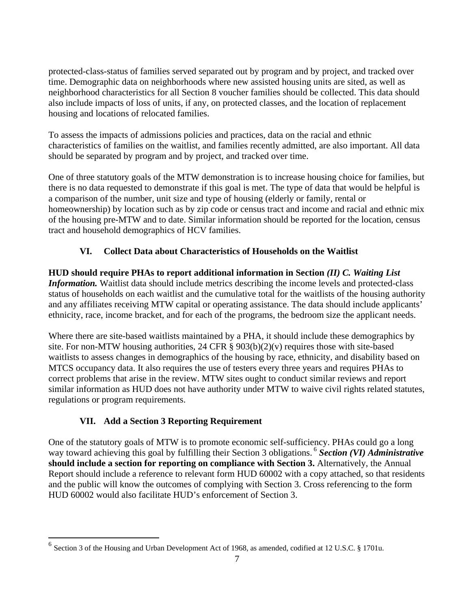protected-class-status of families served separated out by program and by project, and tracked over time. Demographic data on neighborhoods where new assisted housing units are sited, as well as neighborhood characteristics for all Section 8 voucher families should be collected. This data should also include impacts of loss of units, if any, on protected classes, and the location of replacement housing and locations of relocated families.

To assess the impacts of admissions policies and practices, data on the racial and ethnic characteristics of families on the waitlist, and families recently admitted, are also important. All data should be separated by program and by project, and tracked over time.

One of three statutory goals of the MTW demonstration is to increase housing choice for families, but there is no data requested to demonstrate if this goal is met. The type of data that would be helpful is a comparison of the number, unit size and type of housing (elderly or family, rental or homeownership) by location such as by zip code or census tract and income and racial and ethnic mix of the housing pre-MTW and to date. Similar information should be reported for the location, census tract and household demographics of HCV families.

# **VI. Collect Data about Characteristics of Households on the Waitlist**

**HUD should require PHAs to report additional information in Section** *(II) C. Waiting List Information.* Waitlist data should include metrics describing the income levels and protected-class status of households on each waitlist and the cumulative total for the waitlists of the housing authority and any affiliates receiving MTW capital or operating assistance. The data should include applicants' ethnicity, race, income bracket, and for each of the programs, the bedroom size the applicant needs.

Where there are site-based waitlists maintained by a PHA, it should include these demographics by site. For non-MTW housing authorities, 24 CFR  $\S$  903(b)(2)(v) requires those with site-based waitlists to assess changes in demographics of the housing by race, ethnicity, and disability based on MTCS occupancy data. It also requires the use of testers every three years and requires PHAs to correct problems that arise in the review. MTW sites ought to conduct similar reviews and report similar information as HUD does not have authority under MTW to waive civil rights related statutes, regulations or program requirements.

# **VII. Add a Section 3 Reporting Requirement**

<u>.</u>

One of the statutory goals of MTW is to promote economic self-sufficiency. PHAs could go a long way toward achieving this goal by fulfilling their Section 3 obligations. <sup>6</sup> **Section (VI) Administrative should include a section for reporting on compliance with Section 3.** Alternatively, the Annual Report should include a reference to relevant form HUD 60002 with a copy attached, so that residents and the public will know the outcomes of complying with Section 3. Cross referencing to the form HUD 60002 would also facilitate HUD's enforcement of Section 3.

<sup>6</sup> Section 3 of the Housing and Urban Development Act of 1968, as amended, codified at 12 U.S.C. § 1701u.